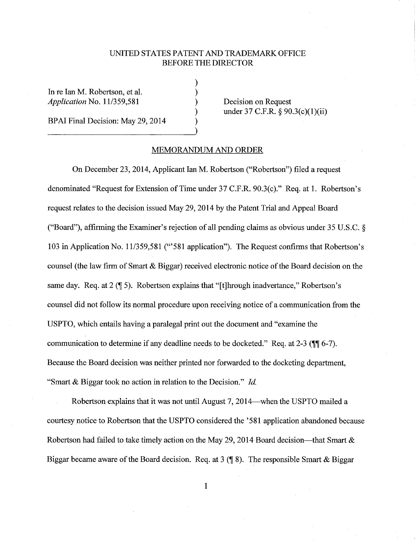## UNITED STATES PATENT AND TRADEMARK OFFICE BEFORE THE DIRECTOR

) ) ) ) )

In re Ian M. Robertson, et al. *Application* No. 11/359,581

BPAI Final Decision: May 29, 2014

Decision on Request under 37 C.F.R.  $\S 90.3(c)(1)(ii)$ 

## MEMORANDUM AND ORDER

On December 23, 2014, Applicant Ian M. Robertson ("Robertson") filed a request denominated "Request for Extension of Time under 37 C.F.R. 90.3(c)." Req. at 1. Robertson's request relates to the decision issued May 29, 2014 by the Patent Trial and Appeal Board ("Board"), affirming the Examiner's rejection of all pending claims as obvious under 35 U.S.C. § 103 in Application No. 11/359,581 ("'581 application"). The Request confirms that Robertson's counsel (the law firm of Smart & Biggar) received electronic notice of the Board decision on the same day. Req. at 2 (1 5). Robertson explains that "[t]hrough inadvertance," Robertson's counsel did not follow its normal procedure upon receiving notice of a communication from the USPTO, which entails having a paralegal print out the document and "examine the communication to determine if any deadline needs to be docketed." Req. at 2-3 **(116-7)**. Because the Board decision was neither printed nor forwarded to the docketing department, "Smart & Biggar took no action in relation to the Decision." *Id.* 

Robertson explains that it was not until August 7, 2014—when the USPTO mailed a courtesy notice to Robertson that the USPTO considered the '581 application abandoned because Robertson had failed to take timely action on the May 29, 2014 Board decision—that Smart  $\&$ Biggar became aware of the Board decision. Req. at 3 **(18).** The responsible Smart & Biggar

1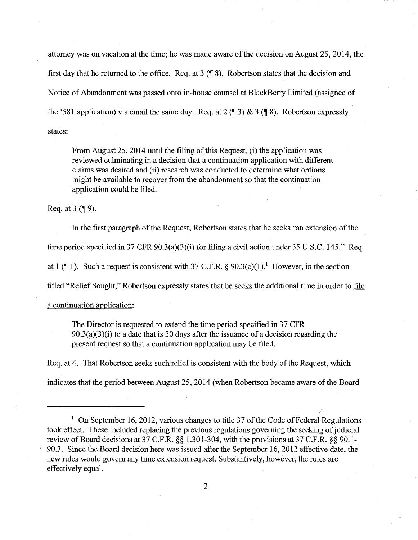attorney was on vacation at the time; he was made aware of the decision on August 25, 2014, the first day that he returned to the office. Req. at  $3 \times 8$ . Robertson states that the decision and Notice of Abandonment was passed onto in-house counsel at BlackBerry Limited (assignee of the '581 application) via email the same day. Req. at  $2 (\sqrt{\frac{3}{2}}) \& 3 (\sqrt{\frac{8}{2}})$ . Robertson expressly states:

From August 25, 2014 until the filing of this Request, (i) the application was reviewed culminating in a decision that a continuation application with different claims was desired and (ii) research was conducted to determine what options might be available to recover from the abandonment so that the continuation application could be filed.

Req. at 3 **(**¶ 9).

In the first paragraph of the Request, Robertson states that he seeks "an extension of the

time period specified in 37 CFR 90.3(a)(3)(i) for filing a civil action under 35 U.S.C. 145." Req.

at 1 ( $\P$  1). Such a request is consistent with 37 C.F.R. § 90.3(c)(1).<sup>1</sup> However, in the section

titled "Relief Sought," Robertson expressly states that he seeks the additional time in order to file

a continuation application:

The Director is requested to extend the time period specified in 37 CFR  $90.3(a)(3)(i)$  to a date that is 30 days after the issuance of a decision regarding the present request so that a continuation application may be filed.

Req. at 4. That Robertson seeks such relief is consistent with the body of the Request, which

indicates that the period between August 25, 2014 (when Robertson became aware of the Board

<sup>&</sup>lt;sup>1</sup> On September 16, 2012, various changes to title 37 of the Code of Federal Regulations took effect. These included replacing the previous regulations governing the seeking of judicial review of Board decisions at 37 C.F.R. §§ 1.301-304, with the provisions at 37C.F.R. §§ 90.1- 90.3. Since the Board decision here was issued after the September 16, 2012 effective date, the new rules would govern any time extension request. Substantively, however, the rules are effectively equal.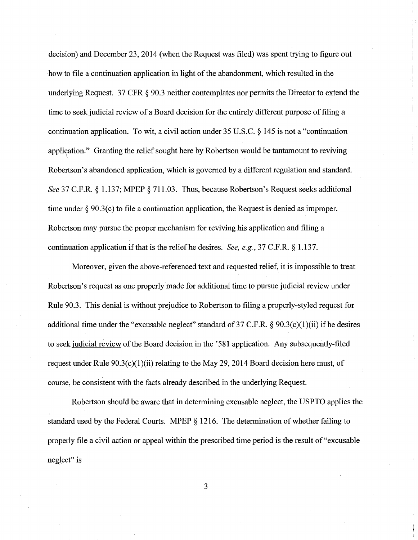decision) and December 23, 2014 (when the Request was filed) was spent trying to figure out how to file a continuation application in light of the abandonment, which resulted in the underlying Request. 37 CFR § 90.3 neither contemplates nor permits the Director to extend the time to seek judicial review of a Board decision for the entirely different purpose of filing a continuation application. To wit, a civil action under 35 U.S.C. § 145 is not a "continuation application." Granting the relief sought here by Robertson would be tantamount to reviving  $\overline{\phantom{0}}$ Robertson's abandoned application, which is governed by a different regulation and standard. *See* 37 C.F.R. § 1.137; MPEP § 711.03. Thus, because Robertson's Request seeks additional time under  $\S 90.3(c)$  to file a continuation application, the Request is denied as improper. Robertson may pursue the proper mechanism for reviving his application and filing a continuation application if that is the relief he desires. *See, e.g.,* 37 C.F.R. § 1.137.

Moreover, given the above-referenced text and requested relief, it is impossible to treat Robertson's request as one properly made for additional time to pursue judicial review under Rule 90.3. This denial is without prejudice to Robertson to filing a properly-styled request for additional time under the "excusable neglect" standard of 37 C.F.R.  $\S$  90.3(c)(1)(ii) if he desires to seek judicial review of the Board decision in the '581 application. Any subsequently-filed request under Rule  $90.3(c)(1)(ii)$  relating to the May 29, 2014 Board decision here must, of course, be consistent with the facts already described in the underlying Request.

Robertson should be aware that in determining excusable neglect, the USPTO applies the standard used by the Federal Courts. MPEP § 1216. The determination of whether failing to properly file a civil action or appeal within the prescribed time period is the result of "excusable neglect" is

3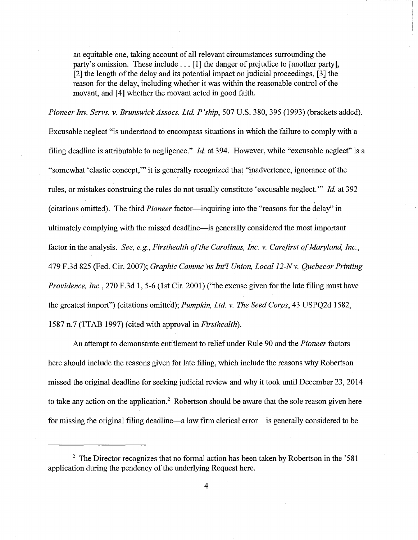an equitable one, taking account of all relevant circumstances surrounding the party's omission. These include ... [1] the danger of prejudice to [another party], [2] the length of the delay and its potential impact on judicial proceedings, [3] the reason for the delay, including whether it was within the reasonable control of the movant, and [4] whether the movant acted in good faith.

Pioneer Inv. Servs. v. Brunswick Assocs. Ltd. P'ship, 507 U.S. 380, 395 (1993) (brackets added). Excusable neglect "is understood to encompass situations in which the failure to comply with a filing deadline is attributable to negligence." *Id* at 394. However, while "excusable neglect" is a "somewhat 'elastic concept,"' it is generally recognized that "inadvertence, ignorance of the rules, or mistakes construing the rules do not usually constitute 'excusable neglect."' *Id* at 392 (citations omitted). The third *Pioneer* factor—inquiring into the "reasons for the delay" in ultimately complying with the missed deadline-is generally considered the most important factor in the analysis. *See, e.g., Firsthealth of the Carolinas, Inc. v. Carefirst of Maryland, Inc.,*  479 F.3d 825 (Fed. Cir. 2007); *Graphic Commc'ns Int'! Union, Local 12-Nv. Quebecor Printing Providence, Inc., 270 F.3d 1, 5-6 (1st Cir. 2001)* ("the excuse given for the late filing must have the greatest import") (citations omitted); *Pumpkin, Ltd v. The Seed Corps,* 43 USPQ2d 1582, 1587 n.7 (TTAB 1997) (cited with approval in *Firsthealth).* 

An attempt to demonstrate entitlement to relief under Rule 90 and the *Pioneer* factors here should include the reasons given for late filing, which include the reasons why Robertson missed the original deadline for seeking judicial review and why it took until December 23, 2014 to take any action on the application.<sup>2</sup> Robertson should be aware that the sole reason given here for missing the original filing deadline—a law firm clerical error—is generally considered to be

 $2$  The Director recognizes that no formal action has been taken by Robertson in the '581 application during the pendency of the underlying Request here.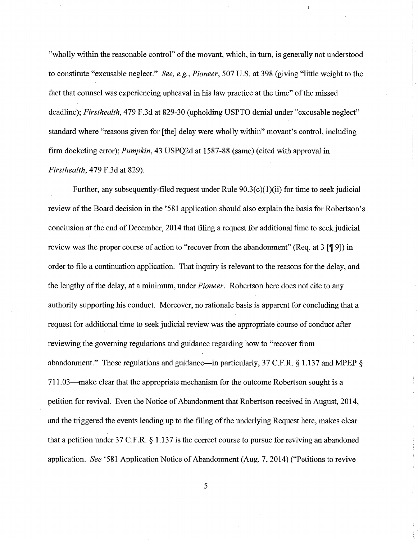"wholly within the reasonable control" of the movant, which, in tum, is generally not understood to constitute "excusable neglect." *See, e.g., Pioneer,* 507 U.S. at 398 (giving "little weight to the fact that counsel was experiencing upheaval in his law practice at the time" of the missed deadline); *Firsthealth*, 479 F.3d at 829-30 (upholding USPTO denial under "excusable neglect" standard where "reasons given for [the] delay were wholly within" movant's control, including firm docketing error); *Pumpkin,* 43 USPQ2d at 158T-88 (same) (cited with approval in *Firsthealth,* 479 F.3d at 829).

Further, any subsequently-filed request under Rule  $90.3(c)(1)(ii)$  for time to seek judicial review of the Board decision in the '581 application should also explain the basis for Robertson's conclusion at the end of December, 2014 that filing a request for additional time to seek judicial review was the proper course of action to "recover from the abandonment" (Req. at  $3$  [¶ 9]) in order to file a continuation application. That inquiry is relevant to the reasons for the delay, and the lengthy of the delay, at a minimum, under *Pioneer.* Robertson here does not cite to any authority supporting his conduct. Moreover, no rationale basis is apparent for concluding that a request for additional time to seek judicial review was the appropriate course of conduct after reviewing the governing regulations and guidance regarding how to "recover from abandonment." Those regulations and guidance—in particularly, 37 C.F.R. § 1.137 and MPEP § 711.03-make clear that the appropriate mechanism for the outcome Robertson sought is a petition for revival. Even the Notice of Abandonment that Robertson received in August, 2014, and the triggered the events leading up to the filing of the underlying Request here, makes clear that a petition under 37 C.F.R. § 1.137 is the correct course to pursue for reviving an abandoned application. *See* '581 Application Notice of Abandonment (Aug. 7, 2014) ("Petitions to revive

5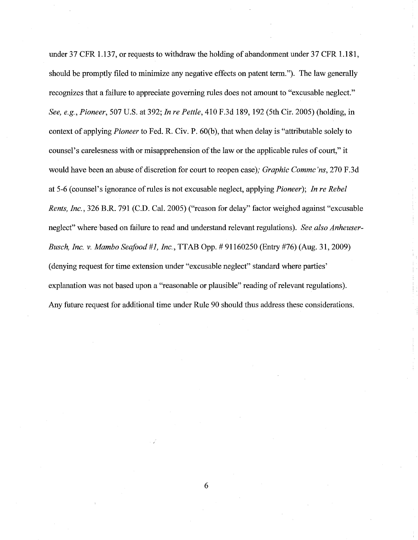under 37 CFR 1.137, or requests to withdraw the holding of abandonment under 37 CFR 1.181, should be promptly filed to minimize any negative effects on patent term."). The law generally recognizes that a failure to appreciate governing rules does not amount to "excusable neglect." *See, e.g., Pioneer,* 507 U.S. at 392; *In re Pettie,* 410 F.3d 189, 192 (5th Cir. 2005) (holding, in context of applying *Pioneer* to Fed. R. Civ. P. 60(b), that when delay is "attributable solely to counsel's carelesness with or misapprehension of the law or the applicable rules of court," it would have been an abuse of discretion for court to reopen case); *Graphic Commc 'ns,* 270 F.3d at 5-6 (counsel's ignorance of rules is not excusable neglect, applying *Pioneer); In re Rebel Rents, Inc.,* 326 B.R. 791 (C.D. Cal. 2005) ("reason for delay" factor weighed against "excusable neglect" where'based on failure to read and understand relevant regulations). *See also Anheuser-Busch, Inc. v. Mambo Seafood #1, Inc.,* TTAB Opp.# 91160250 (Entry #76) (Aug. 31, 2009) (denying request for time extension under "excusable neglect" standard where parties' explanation was not based upon a "reasonable or plausible" reading of relevant regulations). Any future request for additional time under Rule 90 should thus address these considerations.